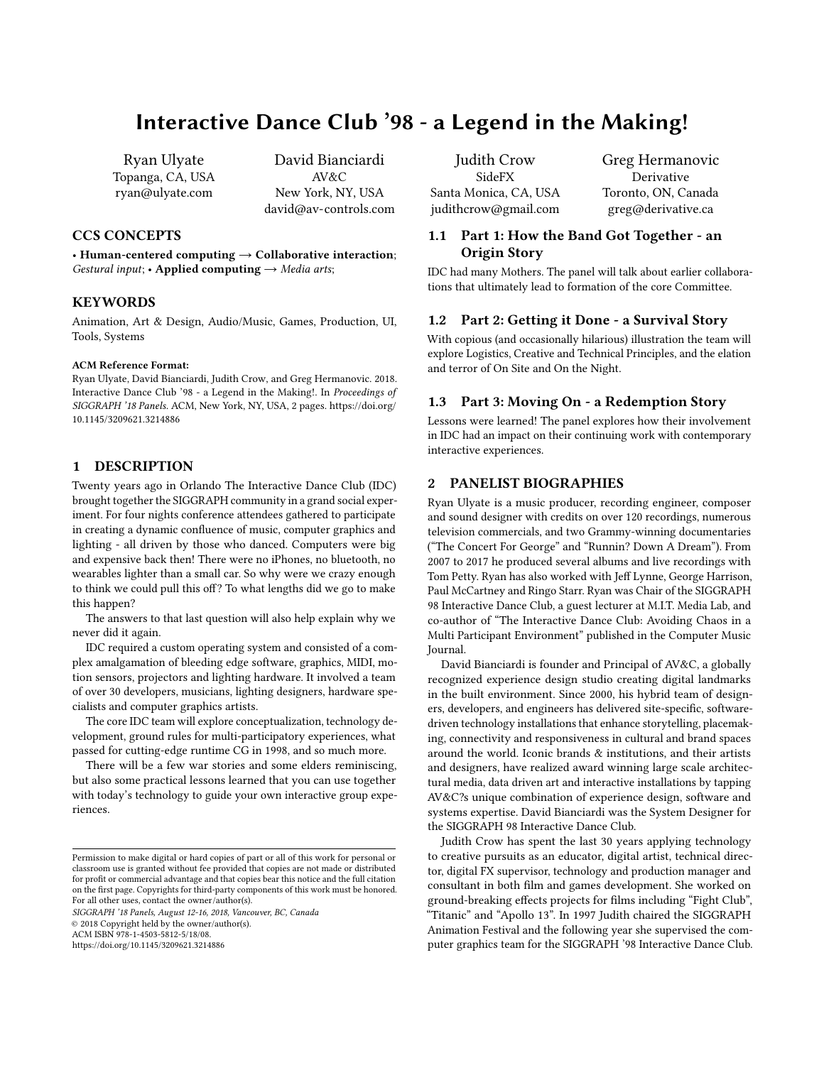# Interactive Dance Club '98 - a Legend in the Making!

Ryan Ulyate Topanga, CA, USA ryan@ulyate.com

David Bianciardi AV&C New York, NY, USA david@av-controls.com

### CCS CONCEPTS

• Human-centered computing  $\rightarrow$  Collaborative interaction; Gestural input; • Applied computing  $\rightarrow$  Media arts;

## **KEYWORDS**

Animation, Art & Design, Audio/Music, Games, Production, UI, Tools, Systems

#### ACM Reference Format:

Ryan Ulyate, David Bianciardi, Judith Crow, and Greg Hermanovic. 2018. Interactive Dance Club '98 - a Legend in the Making!. In Proceedings of SIGGRAPH '18 Panels. ACM, New York, NY, USA, [2](#page-1-0) pages. [https://doi.org/](https://doi.org/10.1145/3209621.3214886) [10.1145/3209621.3214886](https://doi.org/10.1145/3209621.3214886)

# 1 DESCRIPTION

Twenty years ago in Orlando The Interactive Dance Club (IDC) brought together the SIGGRAPH community in a grand social experiment. For four nights conference attendees gathered to participate in creating a dynamic confluence of music, computer graphics and lighting - all driven by those who danced. Computers were big and expensive back then! There were no iPhones, no bluetooth, no wearables lighter than a small car. So why were we crazy enough to think we could pull this off? To what lengths did we go to make this happen?

The answers to that last question will also help explain why we never did it again.

IDC required a custom operating system and consisted of a complex amalgamation of bleeding edge software, graphics, MIDI, motion sensors, projectors and lighting hardware. It involved a team of over 30 developers, musicians, lighting designers, hardware specialists and computer graphics artists.

The core IDC team will explore conceptualization, technology development, ground rules for multi-participatory experiences, what passed for cutting-edge runtime CG in 1998, and so much more.

There will be a few war stories and some elders reminiscing, but also some practical lessons learned that you can use together with today's technology to guide your own interactive group experiences.

SIGGRAPH '18 Panels, August 12-16, 2018, Vancouver, BC, Canada

© 2018 Copyright held by the owner/author(s).

ACM ISBN 978-1-4503-5812-5/18/08.

<https://doi.org/10.1145/3209621.3214886>

Judith Crow SideFX Santa Monica, CA, USA judithcrow@gmail.com Greg Hermanovic Derivative Toronto, ON, Canada greg@derivative.ca

# 1.1 Part 1: How the Band Got Together - an Origin Story

IDC had many Mothers. The panel will talk about earlier collaborations that ultimately lead to formation of the core Committee.

#### 1.2 Part 2: Getting it Done - a Survival Story

With copious (and occasionally hilarious) illustration the team will explore Logistics, Creative and Technical Principles, and the elation and terror of On Site and On the Night.

#### 1.3 Part 3: Moving On - a Redemption Story

Lessons were learned! The panel explores how their involvement in IDC had an impact on their continuing work with contemporary interactive experiences.

#### 2 PANELIST BIOGRAPHIES

Ryan Ulyate is a music producer, recording engineer, composer and sound designer with credits on over 120 recordings, numerous television commercials, and two Grammy-winning documentaries ("The Concert For George" and "Runnin? Down A Dream"). From 2007 to 2017 he produced several albums and live recordings with Tom Petty. Ryan has also worked with Jeff Lynne, George Harrison, Paul McCartney and Ringo Starr. Ryan was Chair of the SIGGRAPH 98 Interactive Dance Club, a guest lecturer at M.I.T. Media Lab, and co-author of "The Interactive Dance Club: Avoiding Chaos in a Multi Participant Environment" published in the Computer Music Journal.

David Bianciardi is founder and Principal of AV&C, a globally recognized experience design studio creating digital landmarks in the built environment. Since 2000, his hybrid team of designers, developers, and engineers has delivered site-specific, softwaredriven technology installations that enhance storytelling, placemaking, connectivity and responsiveness in cultural and brand spaces around the world. Iconic brands & institutions, and their artists and designers, have realized award winning large scale architectural media, data driven art and interactive installations by tapping AV&C?s unique combination of experience design, software and systems expertise. David Bianciardi was the System Designer for the SIGGRAPH 98 Interactive Dance Club.

Judith Crow has spent the last 30 years applying technology to creative pursuits as an educator, digital artist, technical director, digital FX supervisor, technology and production manager and consultant in both film and games development. She worked on ground-breaking effects projects for films including "Fight Club", "Titanic" and "Apollo 13". In 1997 Judith chaired the SIGGRAPH Animation Festival and the following year she supervised the computer graphics team for the SIGGRAPH '98 Interactive Dance Club.

Permission to make digital or hard copies of part or all of this work for personal or classroom use is granted without fee provided that copies are not made or distributed for profit or commercial advantage and that copies bear this notice and the full citation on the first page. Copyrights for third-party components of this work must be honored. For all other uses, contact the owner/author(s).